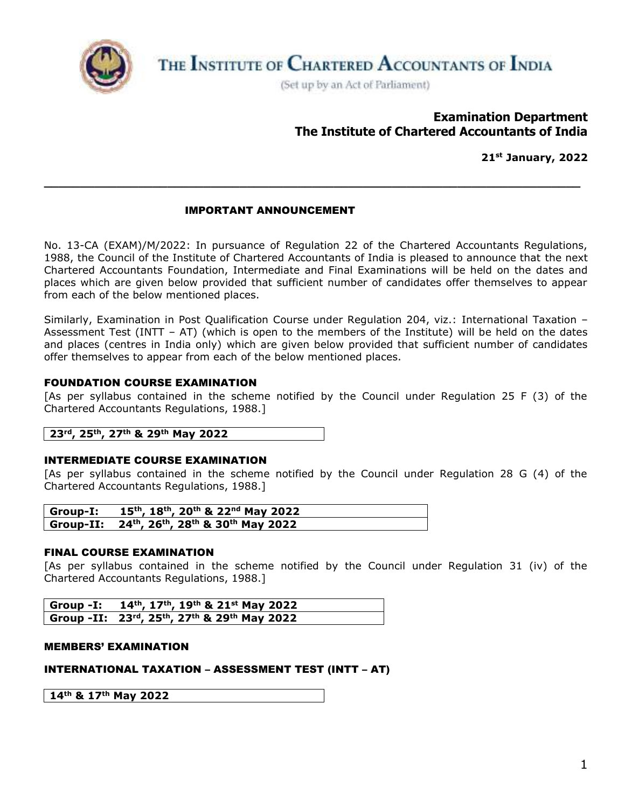

THE INSTITUTE OF CHARTERED ACCOUNTANTS OF INDIA

(Set up by an Act of Parliament)

# **Examination Department The Institute of Chartered Accountants of India**

**21st January, 2022**

## IMPORTANT ANNOUNCEMENT

No. 13-CA (EXAM)/M/2022: In pursuance of Regulation 22 of the Chartered Accountants Regulations, 1988, the Council of the Institute of Chartered Accountants of India is pleased to announce that the next Chartered Accountants Foundation, Intermediate and Final Examinations will be held on the dates and places which are given below provided that sufficient number of candidates offer themselves to appear from each of the below mentioned places.

**\_\_\_\_\_\_\_\_\_\_\_\_\_\_\_\_\_\_\_\_\_\_\_\_\_\_\_\_\_\_\_\_\_\_\_\_\_\_\_\_\_\_\_\_\_\_\_\_\_\_\_\_\_\_\_\_\_\_\_\_\_\_\_\_\_\_\_\_\_\_\_\_\_\_**

Similarly, Examination in Post Qualification Course under Regulation 204, viz.: International Taxation – Assessment Test (INTT – AT) (which is open to the members of the Institute) will be held on the dates and places (centres in India only) which are given below provided that sufficient number of candidates offer themselves to appear from each of the below mentioned places.

### FOUNDATION COURSE EXAMINATION

[As per syllabus contained in the scheme notified by the Council under Regulation 25 F (3) of the Chartered Accountants Regulations, 1988.]

## **23rd, 25th, 27th & 29th May 2022**

### INTERMEDIATE COURSE EXAMINATION

[As per syllabus contained in the scheme notified by the Council under Regulation 28 G (4) of the Chartered Accountants Regulations, 1988.]

| Group-I: 15 <sup>th</sup> , 18 <sup>th</sup> , 20 <sup>th</sup> & 22 <sup>nd</sup> May 2022  |
|----------------------------------------------------------------------------------------------|
| Group-II: 24 <sup>th</sup> , 26 <sup>th</sup> , 28 <sup>th</sup> & 30 <sup>th</sup> May 2022 |

#### FINAL COURSE EXAMINATION

[As per syllabus contained in the scheme notified by the Council under Regulation 31 (iv) of the Chartered Accountants Regulations, 1988.]

| Group -I: $14^{th}$ , $17^{th}$ , $19^{th}$ & $21^{st}$ May 2022 |
|------------------------------------------------------------------|
| Group -II: 23rd, 25th, 27th & 29th May 2022                      |

#### MEMBERS' EXAMINATION

## INTERNATIONAL TAXATION – ASSESSMENT TEST (INTT – AT)

**14th & 17th May 2022**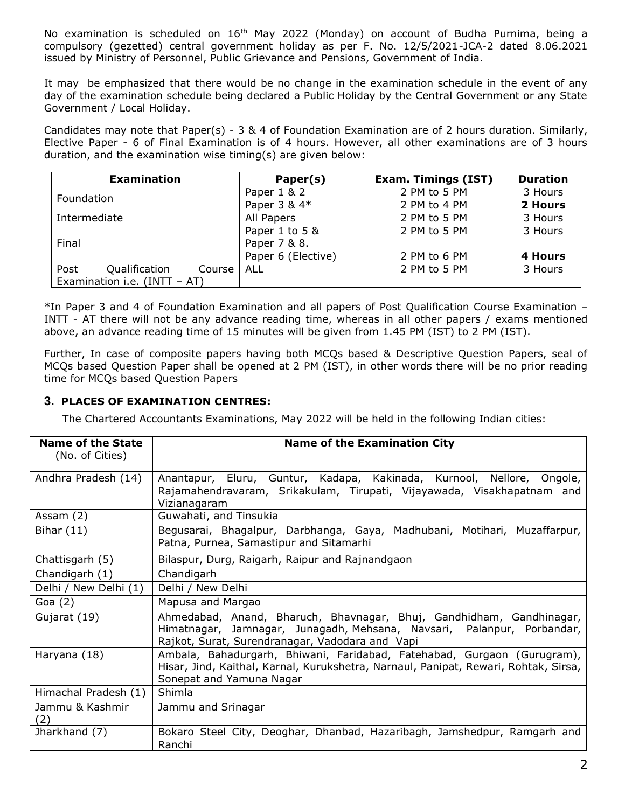No examination is scheduled on 16<sup>th</sup> May 2022 (Monday) on account of Budha Purnima, being a compulsory (gezetted) central government holiday as per F. No. 12/5/2021-JCA-2 dated 8.06.2021 issued by Ministry of Personnel, Public Grievance and Pensions, Government of India.

It may be emphasized that there would be no change in the examination schedule in the event of any day of the examination schedule being declared a Public Holiday by the Central Government or any State Government / Local Holiday.

Candidates may note that Paper(s) - 3 & 4 of Foundation Examination are of 2 hours duration. Similarly, Elective Paper - 6 of Final Examination is of 4 hours. However, all other examinations are of 3 hours duration, and the examination wise timing(s) are given below:

| <b>Examination</b>              | Paper(s)           | <b>Exam. Timings (IST)</b> | <b>Duration</b> |
|---------------------------------|--------------------|----------------------------|-----------------|
| Foundation                      | Paper 1 & 2        | 2 PM to 5 PM               | 3 Hours         |
|                                 | Paper 3 & 4*       | 2 PM to 4 PM               | 2 Hours         |
| Intermediate                    | All Papers         | 2 PM to 5 PM               | 3 Hours         |
|                                 | Paper 1 to 5 &     | 2 PM to 5 PM               | 3 Hours         |
| Final                           | Paper 7 & 8.       |                            |                 |
|                                 | Paper 6 (Elective) | 2 PM to 6 PM               | <b>4 Hours</b>  |
| Post<br>Qualification<br>Course | ALL                | 2 PM to 5 PM               | 3 Hours         |
| Examination i.e. $(INTT - AT)$  |                    |                            |                 |

\*In Paper 3 and 4 of Foundation Examination and all papers of Post Qualification Course Examination – INTT - AT there will not be any advance reading time, whereas in all other papers / exams mentioned above, an advance reading time of 15 minutes will be given from 1.45 PM (IST) to 2 PM (IST).

Further, In case of composite papers having both MCQs based & Descriptive Question Papers, seal of MCQs based Question Paper shall be opened at 2 PM (IST), in other words there will be no prior reading time for MCQs based Question Papers

## **3. PLACES OF EXAMINATION CENTRES:**

The Chartered Accountants Examinations, May 2022 will be held in the following Indian cities:

| <b>Name of the State</b> | <b>Name of the Examination City</b>                                                                                                                                                               |
|--------------------------|---------------------------------------------------------------------------------------------------------------------------------------------------------------------------------------------------|
| (No. of Cities)          |                                                                                                                                                                                                   |
| Andhra Pradesh (14)      | Anantapur, Eluru, Guntur, Kadapa, Kakinada, Kurnool, Nellore, Ongole,<br>Rajamahendravaram, Srikakulam, Tirupati, Vijayawada, Visakhapatnam and<br>Vizianagaram                                   |
| Assam $(2)$              | Guwahati, and Tinsukia                                                                                                                                                                            |
| Bihar $(11)$             | Begusarai, Bhagalpur, Darbhanga, Gaya, Madhubani, Motihari, Muzaffarpur,<br>Patna, Purnea, Samastipur and Sitamarhi                                                                               |
| Chattisgarh (5)          | Bilaspur, Durg, Raigarh, Raipur and Rajnandgaon                                                                                                                                                   |
| Chandigarh (1)           | Chandigarh                                                                                                                                                                                        |
| Delhi / New Delhi (1)    | Delhi / New Delhi                                                                                                                                                                                 |
| Goa $(2)$                | Mapusa and Margao                                                                                                                                                                                 |
| Gujarat (19)             | Ahmedabad, Anand, Bharuch, Bhavnagar, Bhuj, Gandhidham, Gandhinagar,<br>Himatnagar, Jamnagar, Junagadh, Mehsana, Navsari, Palanpur, Porbandar,<br>Rajkot, Surat, Surendranagar, Vadodara and Vapi |
| Haryana (18)             | Ambala, Bahadurgarh, Bhiwani, Faridabad, Fatehabad, Gurgaon (Gurugram),<br>Hisar, Jind, Kaithal, Karnal, Kurukshetra, Narnaul, Panipat, Rewari, Rohtak, Sirsa,<br>Sonepat and Yamuna Nagar        |
| Himachal Pradesh (1)     | Shimla                                                                                                                                                                                            |
| Jammu & Kashmir<br>(2)   | Jammu and Srinagar                                                                                                                                                                                |
| Jharkhand (7)            | Bokaro Steel City, Deoghar, Dhanbad, Hazaribagh, Jamshedpur, Ramgarh and<br>Ranchi                                                                                                                |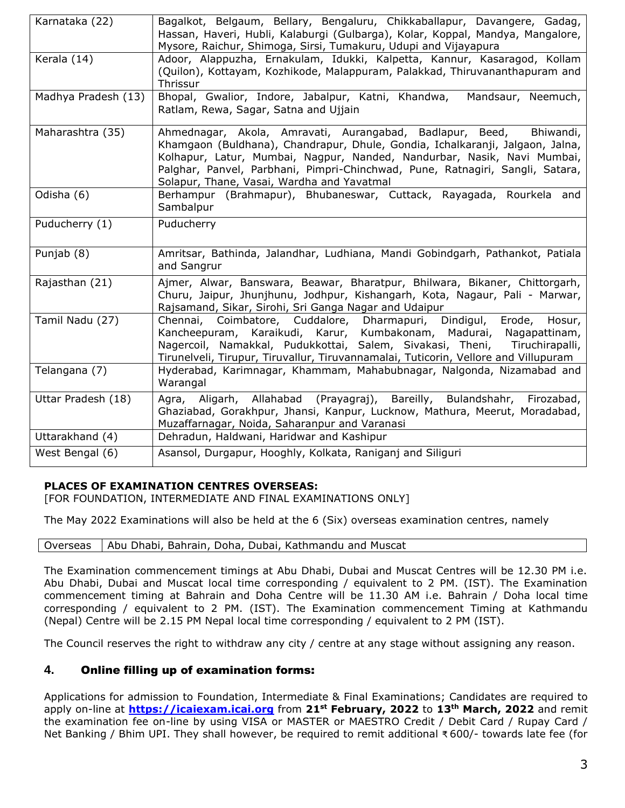| Karnataka (22)      | Bagalkot, Belgaum, Bellary, Bengaluru, Chikkaballapur, Davangere, Gadag,                                                                                                                                                                                                                                                                                      |
|---------------------|---------------------------------------------------------------------------------------------------------------------------------------------------------------------------------------------------------------------------------------------------------------------------------------------------------------------------------------------------------------|
|                     | Hassan, Haveri, Hubli, Kalaburgi (Gulbarga), Kolar, Koppal, Mandya, Mangalore,<br>Mysore, Raichur, Shimoga, Sirsi, Tumakuru, Udupi and Vijayapura                                                                                                                                                                                                             |
| Kerala (14)         | Adoor, Alappuzha, Ernakulam, Idukki, Kalpetta, Kannur, Kasaragod, Kollam                                                                                                                                                                                                                                                                                      |
|                     | (Quilon), Kottayam, Kozhikode, Malappuram, Palakkad, Thiruvananthapuram and<br>Thrissur                                                                                                                                                                                                                                                                       |
| Madhya Pradesh (13) | Bhopal, Gwalior, Indore, Jabalpur, Katni, Khandwa,<br>Mandsaur, Neemuch,<br>Ratlam, Rewa, Sagar, Satna and Ujjain                                                                                                                                                                                                                                             |
| Maharashtra (35)    | Ahmednagar, Akola, Amravati, Aurangabad, Badlapur, Beed, Bhiwandi,<br>Khamgaon (Buldhana), Chandrapur, Dhule, Gondia, Ichalkaranji, Jalgaon, Jalna,<br>Kolhapur, Latur, Mumbai, Nagpur, Nanded, Nandurbar, Nasik, Navi Mumbai,<br>Palghar, Panvel, Parbhani, Pimpri-Chinchwad, Pune, Ratnagiri, Sangli, Satara,<br>Solapur, Thane, Vasai, Wardha and Yavatmal |
| Odisha (6)          | Berhampur (Brahmapur), Bhubaneswar, Cuttack, Rayagada, Rourkela and<br>Sambalpur                                                                                                                                                                                                                                                                              |
| Puducherry (1)      | Puducherry                                                                                                                                                                                                                                                                                                                                                    |
| Punjab (8)          | Amritsar, Bathinda, Jalandhar, Ludhiana, Mandi Gobindgarh, Pathankot, Patiala<br>and Sangrur                                                                                                                                                                                                                                                                  |
| Rajasthan (21)      | Ajmer, Alwar, Banswara, Beawar, Bharatpur, Bhilwara, Bikaner, Chittorgarh,<br>Churu, Jaipur, Jhunjhunu, Jodhpur, Kishangarh, Kota, Nagaur, Pali - Marwar,<br>Rajsamand, Sikar, Sirohi, Sri Ganga Nagar and Udaipur                                                                                                                                            |
| Tamil Nadu (27)     | Chennai, Coimbatore, Cuddalore, Dharmapuri, Dindigul, Erode, Hosur,<br>Kancheepuram, Karaikudi, Karur, Kumbakonam, Madurai, Nagapattinam,<br>Nagercoil, Namakkal, Pudukkottai, Salem, Sivakasi, Theni, Tiruchirapalli,<br>Tirunelveli, Tirupur, Tiruvallur, Tiruvannamalai, Tuticorin, Vellore and Villupuram                                                 |
| Telangana (7)       | Hyderabad, Karimnagar, Khammam, Mahabubnagar, Nalgonda, Nizamabad and<br>Warangal                                                                                                                                                                                                                                                                             |
| Uttar Pradesh (18)  | Agra, Aligarh, Allahabad (Prayagraj), Bareilly, Bulandshahr, Firozabad,<br>Ghaziabad, Gorakhpur, Jhansi, Kanpur, Lucknow, Mathura, Meerut, Moradabad,<br>Muzaffarnagar, Noida, Saharanpur and Varanasi                                                                                                                                                        |
| Uttarakhand (4)     | Dehradun, Haldwani, Haridwar and Kashipur                                                                                                                                                                                                                                                                                                                     |
| West Bengal (6)     | Asansol, Durgapur, Hooghly, Kolkata, Raniganj and Siliguri                                                                                                                                                                                                                                                                                                    |

## **PLACES OF EXAMINATION CENTRES OVERSEAS:**

[FOR FOUNDATION, INTERMEDIATE AND FINAL EXAMINATIONS ONLY]

The May 2022 Examinations will also be held at the 6 (Six) overseas examination centres, namely

|  |  |  |  |  | Overseas   Abu Dhabi, Bahrain, Doha, Dubai, Kathmandu and Muscat |  |
|--|--|--|--|--|------------------------------------------------------------------|--|
|--|--|--|--|--|------------------------------------------------------------------|--|

The Examination commencement timings at Abu Dhabi, Dubai and Muscat Centres will be 12.30 PM i.e. Abu Dhabi, Dubai and Muscat local time corresponding / equivalent to 2 PM. (IST). The Examination commencement timing at Bahrain and Doha Centre will be 11.30 AM i.e. Bahrain / Doha local time corresponding / equivalent to 2 PM. (IST). The Examination commencement Timing at Kathmandu (Nepal) Centre will be 2.15 PM Nepal local time corresponding / equivalent to 2 PM (IST).

The Council reserves the right to withdraw any city / centre at any stage without assigning any reason.

## **4.** Online filling up of examination forms:

Applications for admission to Foundation, Intermediate & Final Examinations; Candidates are required to apply on-line at **[https://icaiexam.icai.org](https://icaiexam.icai.org/)** from **21st February, 2022** to **13th March, 2022** and remit the examination fee on-line by using VISA or MASTER or MAESTRO Credit / Debit Card / Rupay Card / Net Banking / Bhim UPI. They shall however, be required to remit additional ₹ 600/- towards late fee (for